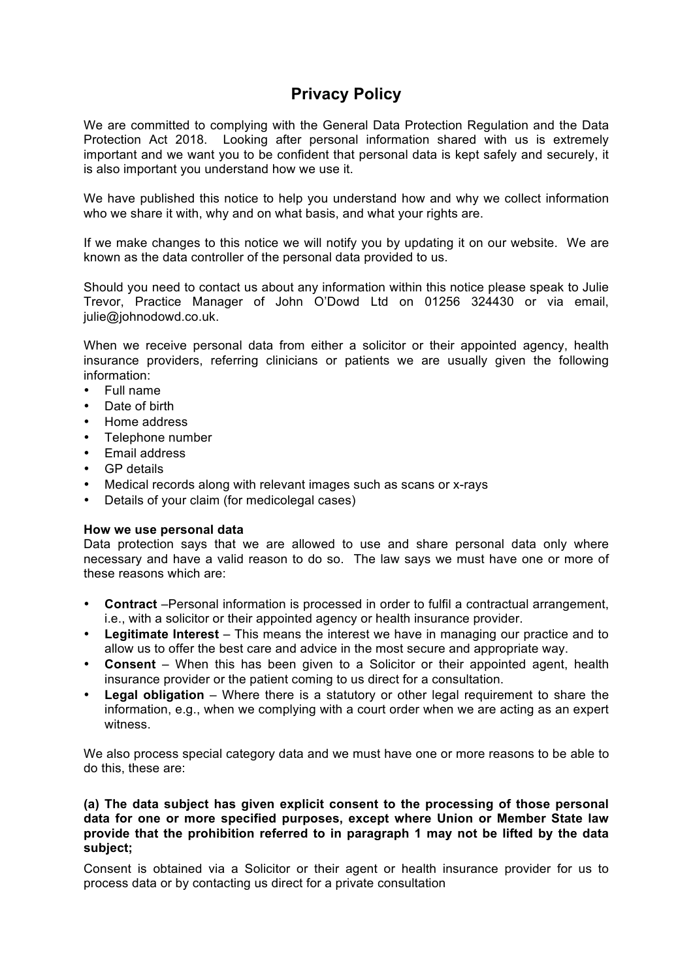# **Privacy Policy**

We are committed to complying with the General Data Protection Regulation and the Data Protection Act 2018. Looking after personal information shared with us is extremely important and we want you to be confident that personal data is kept safely and securely, it is also important you understand how we use it.

We have published this notice to help you understand how and why we collect information who we share it with, why and on what basis, and what your rights are.

If we make changes to this notice we will notify you by updating it on our website. We are known as the data controller of the personal data provided to us.

Should you need to contact us about any information within this notice please speak to Julie Trevor, Practice Manager of John O'Dowd Ltd on 01256 324430 or via email, julie@johnodowd.co.uk.

When we receive personal data from either a solicitor or their appointed agency, health insurance providers, referring clinicians or patients we are usually given the following information:

- Full name
- Date of birth
- Home address
- Telephone number
- Email address
- GP details
- Medical records along with relevant images such as scans or x-rays
- Details of your claim (for medicolegal cases)

## **How we use personal data**

Data protection says that we are allowed to use and share personal data only where necessary and have a valid reason to do so. The law says we must have one or more of these reasons which are:

- **Contract** –Personal information is processed in order to fulfil a contractual arrangement, i.e., with a solicitor or their appointed agency or health insurance provider.
- **Legitimate Interest** This means the interest we have in managing our practice and to allow us to offer the best care and advice in the most secure and appropriate way.
- **Consent** When this has been given to a Solicitor or their appointed agent, health insurance provider or the patient coming to us direct for a consultation.
- **Legal obligation** Where there is a statutory or other legal requirement to share the information, e.g., when we complying with a court order when we are acting as an expert witness.

We also process special category data and we must have one or more reasons to be able to do this, these are:

## **(a) The data subject has given explicit consent to the processing of those personal data for one or more specified purposes, except where Union or Member State law provide that the prohibition referred to in paragraph 1 may not be lifted by the data subject;**

Consent is obtained via a Solicitor or their agent or health insurance provider for us to process data or by contacting us direct for a private consultation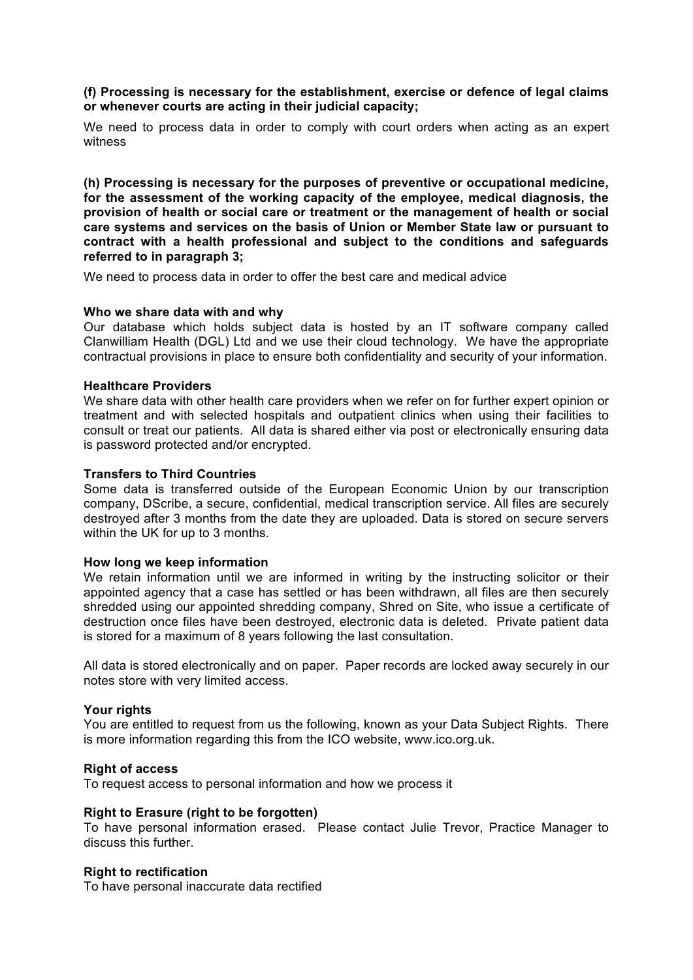# **(f) Processing is necessary for the establishment, exercise or defence of legal claims or whenever courts are acting in their judicial capacity;**

We need to process data in order to comply with court orders when acting as an expert witness

**(h) Processing is necessary for the purposes of preventive or occupational medicine, for the assessment of the working capacity of the employee, medical diagnosis, the provision of health or social care or treatment or the management of health or social care systems and services on the basis of Union or Member State law or pursuant to contract with a health professional and subject to the conditions and safeguards referred to in paragraph 3;**

We need to process data in order to offer the best care and medical advice

## **Who we share data with and why**

Our database which holds subject data is hosted by an IT software company called Clanwilliam Health (DGL) Ltd and we use their cloud technology. We have the appropriate contractual provisions in place to ensure both confidentiality and security of your information.

## **Healthcare Providers**

We share data with other health care providers when we refer on for further expert opinion or treatment and with selected hospitals and outpatient clinics when using their facilities to consult or treat our patients. All data is shared either via post or electronically ensuring data is password protected and/or encrypted.

## **Transfers to Third Countries**

Some data is transferred outside of the European Economic Union by our transcription company, DScribe, a secure, confidential, medical transcription service. All files are securely destroyed after 3 months from the date they are uploaded. Data is stored on secure servers within the UK for up to 3 months.

## **How long we keep information**

We retain information until we are informed in writing by the instructing solicitor or their appointed agency that a case has settled or has been withdrawn, all files are then securely shredded using our appointed shredding company, Shred on Site, who issue a certificate of destruction once files have been destroyed, electronic data is deleted. Private patient data is stored for a maximum of 8 years following the last consultation.

All data is stored electronically and on paper. Paper records are locked away securely in our notes store with very limited access.

# **Your rights**

You are entitled to request from us the following, known as your Data Subject Rights. There is more information regarding this from the ICO website, www.ico.org.uk.

## **Right of access**

To request access to personal information and how we process it

## **Right to Erasure (right to be forgotten)**

To have personal information erased. Please contact Julie Trevor, Practice Manager to discuss this further.

## **Right to rectification**

To have personal inaccurate data rectified